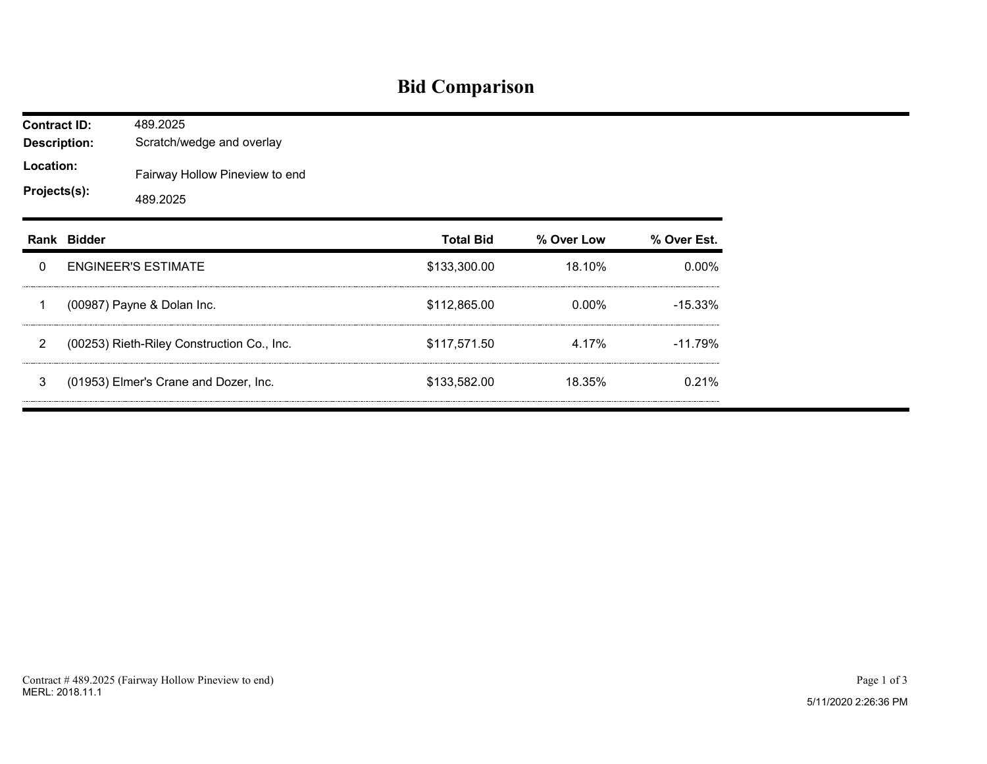## **Bid Comparison**

| <b>Contract ID:</b><br><b>Description:</b> |             | 489.2025<br>Scratch/wedge and overlay      |                  |            |             |  |  |  |  |
|--------------------------------------------|-------------|--------------------------------------------|------------------|------------|-------------|--|--|--|--|
| Location:<br>Projects(s):                  |             | Fairway Hollow Pineview to end<br>489.2025 |                  |            |             |  |  |  |  |
|                                            | Rank Bidder |                                            | <b>Total Bid</b> | % Over Low | % Over Est. |  |  |  |  |
| 0                                          |             | <b>ENGINEER'S ESTIMATE</b>                 | \$133,300.00     | 18.10%     | 0.00%       |  |  |  |  |
| 1                                          |             | (00987) Payne & Dolan Inc.                 | \$112,865.00     | 0.00%      | $-15.33%$   |  |  |  |  |
| 2                                          |             | (00253) Rieth-Riley Construction Co., Inc. | \$117,571.50     | 4.17%      | $-11.79%$   |  |  |  |  |
| 3                                          |             | (01953) Elmer's Crane and Dozer, Inc.      | \$133,582.00     | 18.35%     | 0.21%       |  |  |  |  |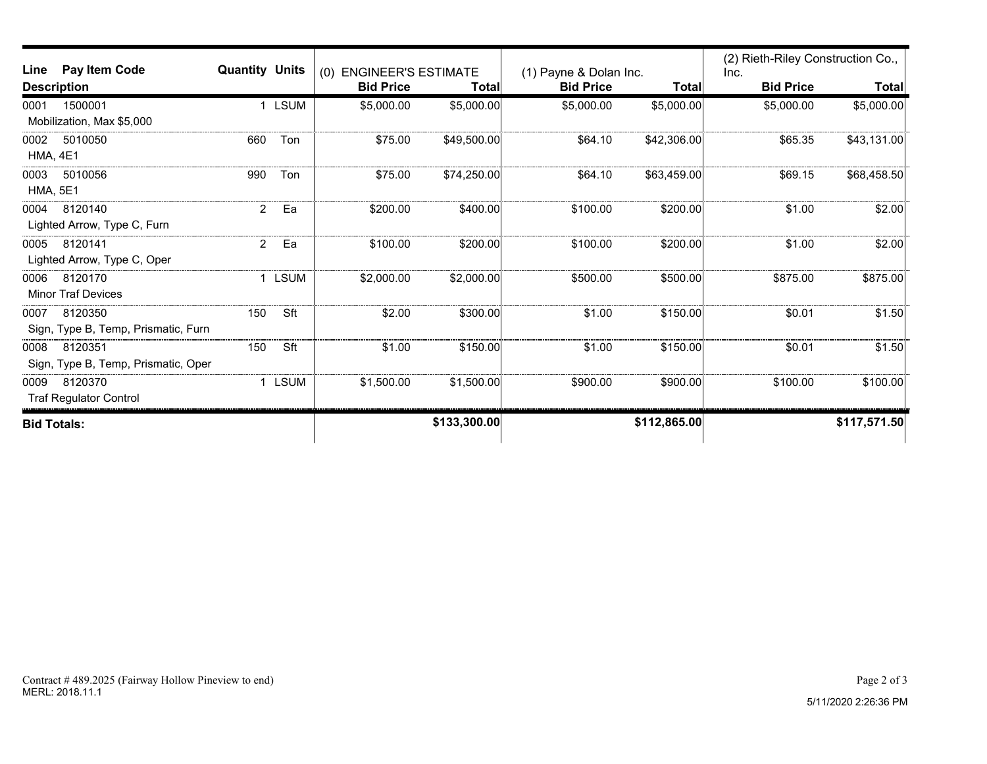| Line               | Pay Item Code                       | <b>Quantity Units</b> |        | <b>ENGINEER'S ESTIMATE</b> |              |                                            |              | (2) Rieth-Riley Construction Co., |              |
|--------------------|-------------------------------------|-----------------------|--------|----------------------------|--------------|--------------------------------------------|--------------|-----------------------------------|--------------|
| <b>Description</b> |                                     |                       |        | (0)<br><b>Bid Price</b>    | Total        | (1) Payne & Dolan Inc.<br><b>Bid Price</b> | <b>Total</b> | Inc.<br><b>Bid Price</b>          | <b>Total</b> |
| 0001               | 1500001                             |                       | 1 LSUM | \$5,000.00                 | \$5,000.00   | \$5,000.00                                 | \$5,000.00   | \$5,000.00                        | \$5,000.00   |
|                    | Mobilization, Max \$5,000           |                       |        |                            |              |                                            |              |                                   |              |
| 0002               | 5010050                             | 660                   | Ton    | \$75.00                    | \$49,500.00  | \$64.10                                    | \$42,306.00  | \$65.35                           | \$43,131.00  |
| <b>HMA, 4E1</b>    |                                     |                       |        |                            |              |                                            |              |                                   |              |
| 0003               | 5010056                             | 990                   | Ton    | \$75.00                    | \$74,250.00  | \$64.10                                    | \$63,459.00  | \$69.15                           | \$68,458.50  |
| <b>HMA, 5E1</b>    |                                     |                       |        |                            |              |                                            |              |                                   |              |
| 0004               | 8120140                             | $\overline{2}$        | Ea     | \$200.00                   | \$400.00     | \$100.00                                   | \$200.00     | \$1.00                            | \$2.00       |
|                    | Lighted Arrow, Type C, Furn         |                       |        |                            |              |                                            |              |                                   |              |
| 0005               | 8120141                             | $\overline{a}$        | Ea     | \$100.00                   | \$200.00     | \$100.00                                   | \$200.00     | \$1.00                            | \$2.00       |
|                    | Lighted Arrow, Type C, Oper         |                       |        |                            |              |                                            |              |                                   |              |
| 0006               | 8120170                             |                       | 1 LSUM | \$2,000.00                 | \$2,000.00]  | \$500.00                                   | \$500.00     | \$875.00                          | \$875.00     |
|                    | <b>Minor Traf Devices</b>           |                       |        |                            |              |                                            |              |                                   |              |
| 0007               | 8120350                             | 150                   | Sft    | \$2.00                     | \$300.00     | \$1.00                                     | \$150.00     | \$0.01                            | \$1.50       |
|                    | Sign, Type B, Temp, Prismatic, Furn |                       |        |                            |              |                                            |              |                                   |              |
| 0008               | 8120351                             | 150                   | Sft    | \$1.00                     | \$150.00     | \$1.00                                     | \$150.00     | \$0.01                            | \$1.50       |
|                    | Sign, Type B, Temp, Prismatic, Oper |                       |        |                            |              |                                            |              |                                   |              |
| 0009               | 8120370                             |                       | 1 LSUM | \$1,500.00                 | \$1,500.00   | \$900.00                                   | \$900.00     | \$100.00                          | \$100.00]    |
|                    | <b>Traf Regulator Control</b>       |                       |        |                            |              |                                            |              |                                   |              |
| <b>Bid Totals:</b> |                                     |                       |        |                            | \$133,300.00 |                                            | \$112,865.00 |                                   | \$117,571.50 |